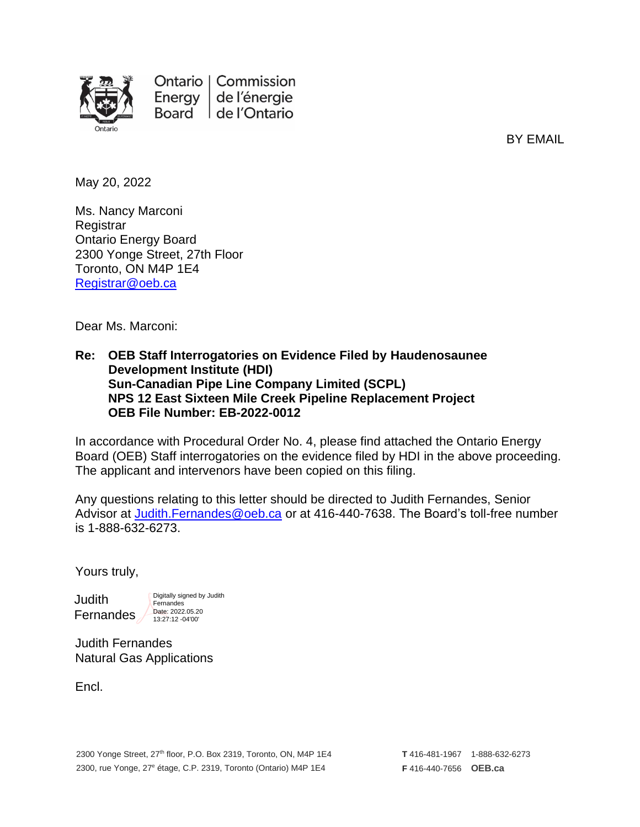

BY EMAIL

May 20, 2022

Ms. Nancy Marconi **Registrar** Ontario Energy Board 2300 Yonge Street, 27th Floor Toronto, ON M4P 1E4 [Registrar@oeb.ca](mailto:Registrar@oeb.ca)

Dear Ms. Marconi:

#### **Re: OEB Staff Interrogatories on Evidence Filed by Haudenosaunee Development Institute (HDI) Sun-Canadian Pipe Line Company Limited (SCPL) NPS 12 East Sixteen Mile Creek Pipeline Replacement Project OEB File Number: EB-2022-0012**

In accordance with Procedural Order No. 4, please find attached the Ontario Energy Board (OEB) Staff interrogatories on the evidence filed by HDI in the above proceeding. The applicant and intervenors have been copied on this filing.

Any questions relating to this letter should be directed to Judith Fernandes, Senior Advisor at [Judith.Fernandes@oeb.ca](mailto:Judith.Fernandes@oeb.ca) or at 416-440-7638. The Board's toll-free number is 1-888-632-6273.

Yours truly,

Judith Fernandes Digitally signed by Judith **Fernandes** Date: 2022.05.20 13:27:12 -04'00'

Judith Fernandes Natural Gas Applications

Encl.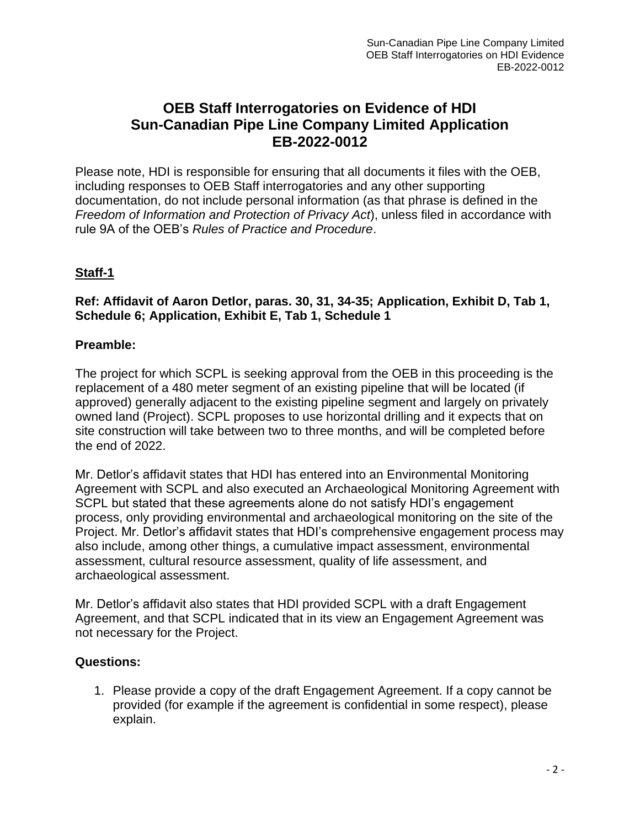# **OEB Staff Interrogatories on Evidence of HDI Sun-Canadian Pipe Line Company Limited Application EB-2022-0012**

Please note, HDI is responsible for ensuring that all documents it files with the OEB, including responses to OEB Staff interrogatories and any other supporting documentation, do not include personal information (as that phrase is defined in the *Freedom of Information and Protection of Privacy Act*), unless filed in accordance with rule 9A of the OEB's *Rules of Practice and Procedure*.

## **Staff-1**

#### **Ref: Affidavit of Aaron Detlor, paras. 30, 31, 34-35; Application, Exhibit D, Tab 1, Schedule 6; Application, Exhibit E, Tab 1, Schedule 1**

#### **Preamble:**

The project for which SCPL is seeking approval from the OEB in this proceeding is the replacement of a 480 meter segment of an existing pipeline that will be located (if approved) generally adjacent to the existing pipeline segment and largely on privately owned land (Project). SCPL proposes to use horizontal drilling and it expects that on site construction will take between two to three months, and will be completed before the end of 2022.

Mr. Detlor's affidavit states that HDI has entered into an Environmental Monitoring Agreement with SCPL and also executed an Archaeological Monitoring Agreement with SCPL but stated that these agreements alone do not satisfy HDI's engagement process, only providing environmental and archaeological monitoring on the site of the Project. Mr. Detlor's affidavit states that HDI's comprehensive engagement process may also include, among other things, a cumulative impact assessment, environmental assessment, cultural resource assessment, quality of life assessment, and archaeological assessment.

Mr. Detlor's affidavit also states that HDI provided SCPL with a draft Engagement Agreement, and that SCPL indicated that in its view an Engagement Agreement was not necessary for the Project.

#### **Questions:**

1. Please provide a copy of the draft Engagement Agreement. If a copy cannot be provided (for example if the agreement is confidential in some respect), please explain.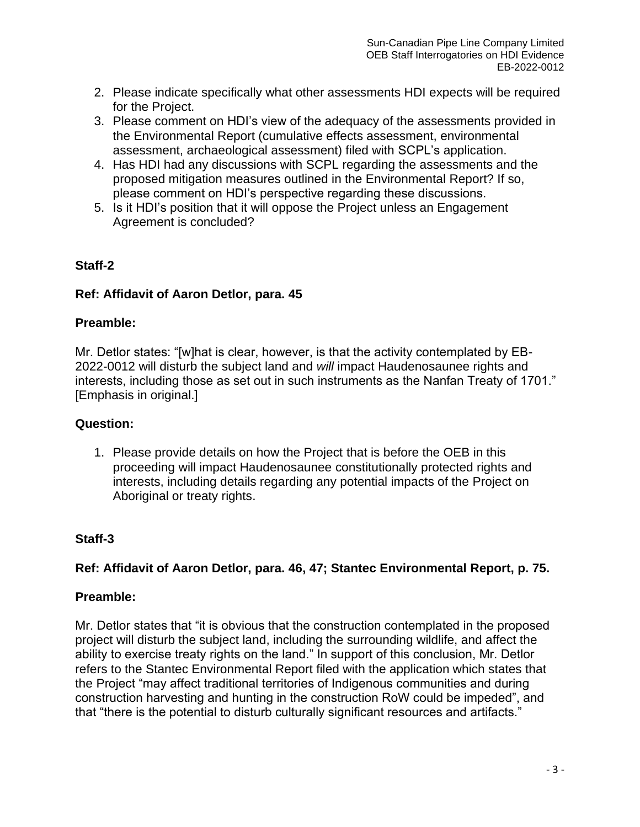- 2. Please indicate specifically what other assessments HDI expects will be required for the Project.
- 3. Please comment on HDI's view of the adequacy of the assessments provided in the Environmental Report (cumulative effects assessment, environmental assessment, archaeological assessment) filed with SCPL's application.
- 4. Has HDI had any discussions with SCPL regarding the assessments and the proposed mitigation measures outlined in the Environmental Report? If so, please comment on HDI's perspective regarding these discussions.
- 5. Is it HDI's position that it will oppose the Project unless an Engagement Agreement is concluded?

### **Staff-2**

### **Ref: Affidavit of Aaron Detlor, para. 45**

### **Preamble:**

Mr. Detlor states: "[w]hat is clear, however, is that the activity contemplated by EB-2022-0012 will disturb the subject land and *will* impact Haudenosaunee rights and interests, including those as set out in such instruments as the Nanfan Treaty of 1701." [Emphasis in original.]

## **Question:**

1. Please provide details on how the Project that is before the OEB in this proceeding will impact Haudenosaunee constitutionally protected rights and interests, including details regarding any potential impacts of the Project on Aboriginal or treaty rights.

## **Staff-3**

## **Ref: Affidavit of Aaron Detlor, para. 46, 47; Stantec Environmental Report, p. 75.**

## **Preamble:**

Mr. Detlor states that "it is obvious that the construction contemplated in the proposed project will disturb the subject land, including the surrounding wildlife, and affect the ability to exercise treaty rights on the land." In support of this conclusion, Mr. Detlor refers to the Stantec Environmental Report filed with the application which states that the Project "may affect traditional territories of Indigenous communities and during construction harvesting and hunting in the construction RoW could be impeded", and that "there is the potential to disturb culturally significant resources and artifacts."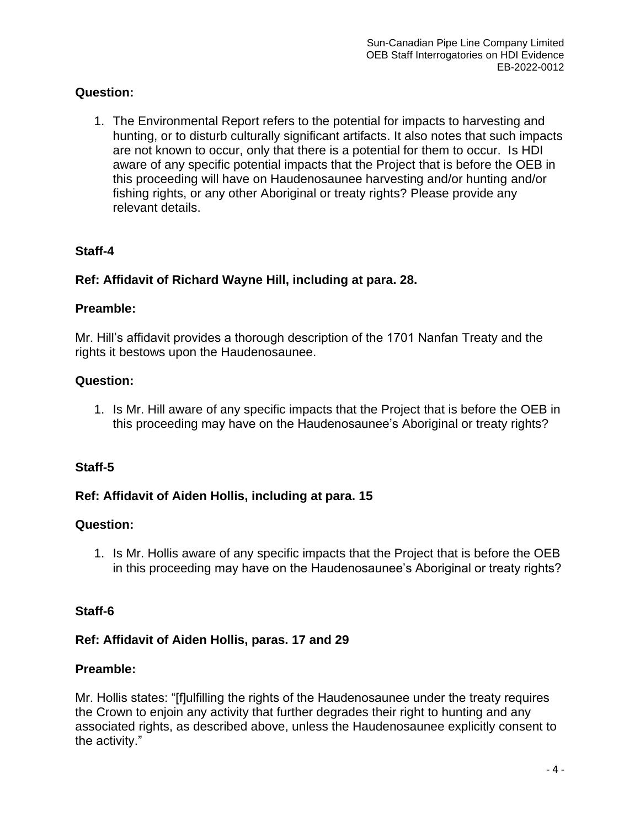### **Question:**

1. The Environmental Report refers to the potential for impacts to harvesting and hunting, or to disturb culturally significant artifacts. It also notes that such impacts are not known to occur, only that there is a potential for them to occur. Is HDI aware of any specific potential impacts that the Project that is before the OEB in this proceeding will have on Haudenosaunee harvesting and/or hunting and/or fishing rights, or any other Aboriginal or treaty rights? Please provide any relevant details.

### **Staff-4**

### **Ref: Affidavit of Richard Wayne Hill, including at para. 28.**

#### **Preamble:**

Mr. Hill's affidavit provides a thorough description of the 1701 Nanfan Treaty and the rights it bestows upon the Haudenosaunee.

#### **Question:**

1. Is Mr. Hill aware of any specific impacts that the Project that is before the OEB in this proceeding may have on the Haudenosaunee's Aboriginal or treaty rights?

### **Staff-5**

### **Ref: Affidavit of Aiden Hollis, including at para. 15**

#### **Question:**

1. Is Mr. Hollis aware of any specific impacts that the Project that is before the OEB in this proceeding may have on the Haudenosaunee's Aboriginal or treaty rights?

#### **Staff-6**

#### **Ref: Affidavit of Aiden Hollis, paras. 17 and 29**

#### **Preamble:**

Mr. Hollis states: "[f]ulfilling the rights of the Haudenosaunee under the treaty requires the Crown to enjoin any activity that further degrades their right to hunting and any associated rights, as described above, unless the Haudenosaunee explicitly consent to the activity."